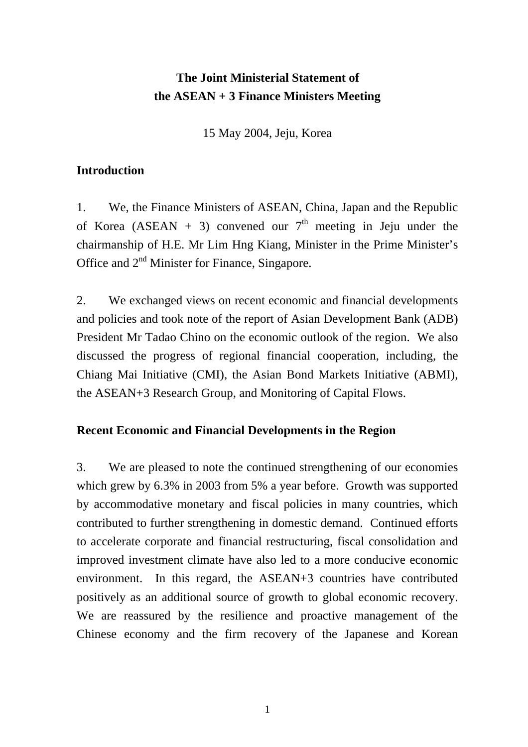## **The Joint Ministerial Statement of the ASEAN + 3 Finance Ministers Meeting**

15 May 2004, Jeju, Korea

## **Introduction**

1. We, the Finance Ministers of ASEAN, China, Japan and the Republic of Korea (ASEAN + 3) convened our  $7<sup>th</sup>$  meeting in Jeju under the chairmanship of H.E. Mr Lim Hng Kiang, Minister in the Prime Minister's Office and 2nd Minister for Finance, Singapore.

2. We exchanged views on recent economic and financial developments and policies and took note of the report of Asian Development Bank (ADB) President Mr Tadao Chino on the economic outlook of the region. We also discussed the progress of regional financial cooperation, including, the Chiang Mai Initiative (CMI), the Asian Bond Markets Initiative (ABMI), the ASEAN+3 Research Group, and Monitoring of Capital Flows.

## **Recent Economic and Financial Developments in the Region**

3. We are pleased to note the continued strengthening of our economies which grew by 6.3% in 2003 from 5% a year before. Growth was supported by accommodative monetary and fiscal policies in many countries, which contributed to further strengthening in domestic demand. Continued efforts to accelerate corporate and financial restructuring, fiscal consolidation and improved investment climate have also led to a more conducive economic environment. In this regard, the ASEAN+3 countries have contributed positively as an additional source of growth to global economic recovery. We are reassured by the resilience and proactive management of the Chinese economy and the firm recovery of the Japanese and Korean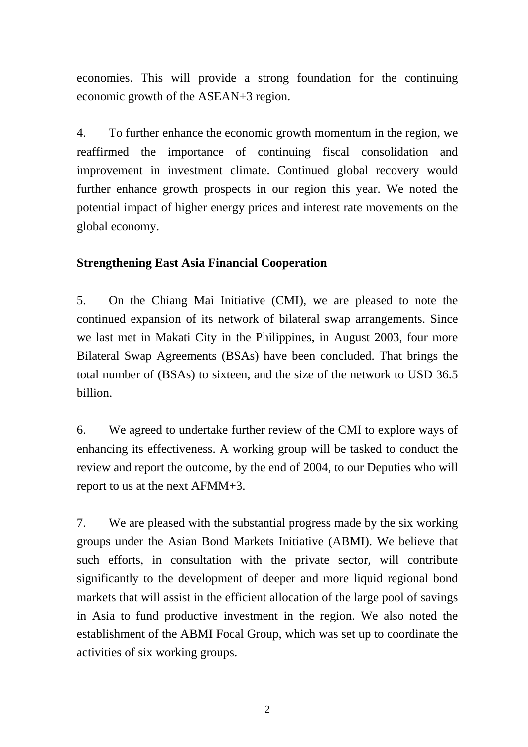economies. This will provide a strong foundation for the continuing economic growth of the ASEAN+3 region.

4. To further enhance the economic growth momentum in the region, we reaffirmed the importance of continuing fiscal consolidation and improvement in investment climate. Continued global recovery would further enhance growth prospects in our region this year. We noted the potential impact of higher energy prices and interest rate movements on the global economy.

## **Strengthening East Asia Financial Cooperation**

5. On the Chiang Mai Initiative (CMI), we are pleased to note the continued expansion of its network of bilateral swap arrangements. Since we last met in Makati City in the Philippines, in August 2003, four more Bilateral Swap Agreements (BSAs) have been concluded. That brings the total number of (BSAs) to sixteen, and the size of the network to USD 36.5 billion.

6. We agreed to undertake further review of the CMI to explore ways of enhancing its effectiveness. A working group will be tasked to conduct the review and report the outcome, by the end of 2004, to our Deputies who will report to us at the next AFMM+3.

7. We are pleased with the substantial progress made by the six working groups under the Asian Bond Markets Initiative (ABMI). We believe that such efforts, in consultation with the private sector, will contribute significantly to the development of deeper and more liquid regional bond markets that will assist in the efficient allocation of the large pool of savings in Asia to fund productive investment in the region. We also noted the establishment of the ABMI Focal Group, which was set up to coordinate the activities of six working groups.

2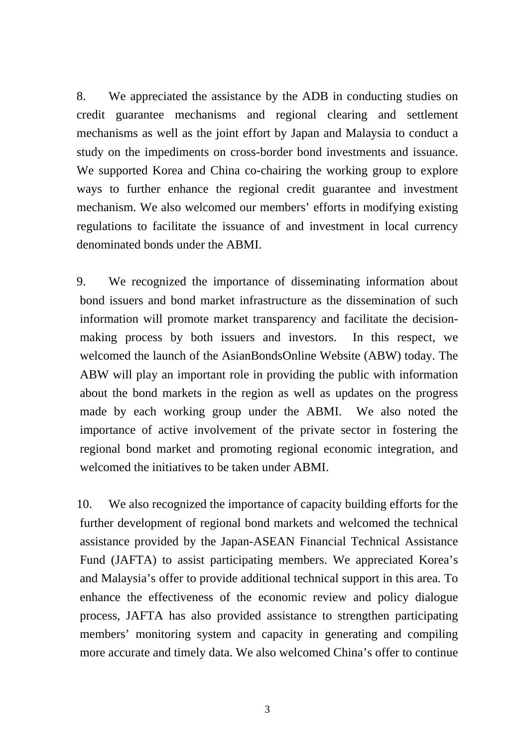8. We appreciated the assistance by the ADB in conducting studies on credit guarantee mechanisms and regional clearing and settlement mechanisms as well as the joint effort by Japan and Malaysia to conduct a study on the impediments on cross-border bond investments and issuance. We supported Korea and China co-chairing the working group to explore ways to further enhance the regional credit guarantee and investment mechanism. We also welcomed our members' efforts in modifying existing regulations to facilitate the issuance of and investment in local currency denominated bonds under the ABMI.

9. We recognized the importance of disseminating information about bond issuers and bond market infrastructure as the dissemination of such information will promote market transparency and facilitate the decisionmaking process by both issuers and investors. In this respect, we welcomed the launch of the AsianBondsOnline Website (ABW) today. The ABW will play an important role in providing the public with information about the bond markets in the region as well as updates on the progress made by each working group under the ABMI. We also noted the importance of active involvement of the private sector in fostering the regional bond market and promoting regional economic integration, and welcomed the initiatives to be taken under ABMI.

10. We also recognized the importance of capacity building efforts for the further development of regional bond markets and welcomed the technical assistance provided by the Japan-ASEAN Financial Technical Assistance Fund (JAFTA) to assist participating members. We appreciated Korea's and Malaysia's offer to provide additional technical support in this area. To enhance the effectiveness of the economic review and policy dialogue process, JAFTA has also provided assistance to strengthen participating members' monitoring system and capacity in generating and compiling more accurate and timely data. We also welcomed China's offer to continue